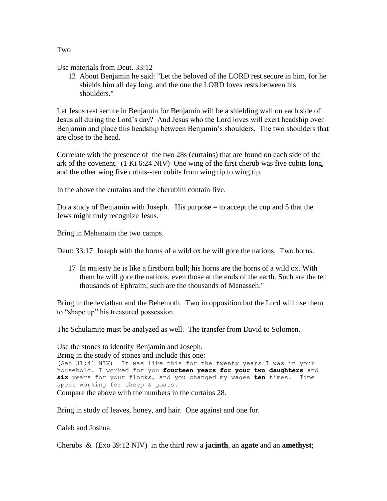Use materials from Deut. 33:12

12 About Benjamin he said: "Let the beloved of the LORD rest secure in him, for he shields him all day long, and the one the LORD loves rests between his shoulders."

Let Jesus rest secure in Benjamin for Benjamin will be a shielding wall on each side of Jesus all during the Lord's day? And Jesus who the Lord loves will exert headship over Benjamin and place this headship between Benjamin's shoulders. The two shoulders that are close to the head.

Correlate with the presence of the two 28s (curtains) that are found on each side of the ark of the covenent. (1 Ki 6:24 NIV) One wing of the first cherub was five cubits long, and the other wing five cubits--ten cubits from wing tip to wing tip.

In the above the curtains and the cherubim contain five.

Do a study of Benjamin with Joseph. His purpose  $=$  to accept the cup and 5 that the Jews might truly recognize Jesus.

Bring in Mahanaim the two camps.

Deut: 33:17 Joseph with the horns of a wild ox he will gore the nations. Two horns.

17 In majesty he is like a firstborn bull; his horns are the horns of a wild ox. With them he will gore the nations, even those at the ends of the earth. Such are the ten thousands of Ephraim; such are the thousands of Manasseh."

Bring in the leviathan and the Behemoth. Two in opposition but the Lord will use them to "shape up" his treasured possession.

The Schulamite must be analyzed as well. The transfer from David to Solomen.

Use the stones to identify Benjamin and Joseph. Bring in the study of stones and include this one: (Gen 31:41 NIV) It was like this for the twenty years I was in your household. I worked for you **fourteen years for your two daughters** and **six** years for your flocks, and you changed my wages **ten** times. Time spent working for sheep & goats. Compare the above with the numbers in the curtains 28.

Bring in study of leaves, honey, and hair. One against and one for.

Caleb and Joshua.

Cherubs & (Exo 39:12 NIV) in the third row a **jacinth**, an **agate** and an **amethyst**;

Two